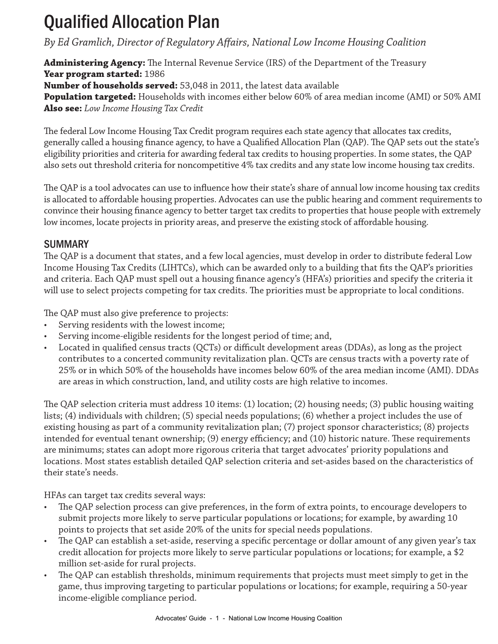# Qualified Allocation Plan

# *By Ed Gramlich, Director of Regulatory Affairs, National Low Income Housing Coalition*

**Administering Agency:** The Internal Revenue Service (IRS) of the Department of the Treasury **Year program started:** 1986 **Number of households served:** 53,048 in 2011, the latest data available

**Population targeted:** Households with incomes either below 60% of area median income (AMI) or 50% AMI

**Also see:** *Low Income Housing Tax Credit*

The federal Low Income Housing Tax Credit program requires each state agency that allocates tax credits, generally called a housing finance agency, to have a Qualified Allocation Plan (QAP). The QAP sets out the state's eligibility priorities and criteria for awarding federal tax credits to housing properties. In some states, the QAP also sets out threshold criteria for noncompetitive 4% tax credits and any state low income housing tax credits.

The QAP is a tool advocates can use to influence how their state's share of annual low income housing tax credits is allocated to affordable housing properties. Advocates can use the public hearing and comment requirements to convince their housing finance agency to better target tax credits to properties that house people with extremely low incomes, locate projects in priority areas, and preserve the existing stock of affordable housing.

### SUMMARY

The QAP is a document that states, and a few local agencies, must develop in order to distribute federal Low Income Housing Tax Credits (LIHTCs), which can be awarded only to a building that fits the QAP's priorities and criteria. Each QAP must spell out a housing finance agency's (HFA's) priorities and specify the criteria it will use to select projects competing for tax credits. The priorities must be appropriate to local conditions.

The QAP must also give preference to projects:

- Serving residents with the lowest income;
- Serving income-eligible residents for the longest period of time; and,
- Located in qualified census tracts (QCTs) or difficult development areas (DDAs), as long as the project contributes to a concerted community revitalization plan. QCTs are census tracts with a poverty rate of 25% or in which 50% of the households have incomes below 60% of the area median income (AMI). DDAs are areas in which construction, land, and utility costs are high relative to incomes.

The QAP selection criteria must address 10 items: (1) location; (2) housing needs; (3) public housing waiting lists; (4) individuals with children; (5) special needs populations; (6) whether a project includes the use of existing housing as part of a community revitalization plan; (7) project sponsor characteristics; (8) projects intended for eventual tenant ownership; (9) energy efficiency; and (10) historic nature. These requirements are minimums; states can adopt more rigorous criteria that target advocates' priority populations and locations. Most states establish detailed QAP selection criteria and set-asides based on the characteristics of their state's needs.

HFAs can target tax credits several ways:

- The QAP selection process can give preferences, in the form of extra points, to encourage developers to submit projects more likely to serve particular populations or locations; for example, by awarding 10 points to projects that set aside 20% of the units for special needs populations.
- The QAP can establish a set-aside, reserving a specific percentage or dollar amount of any given year's tax credit allocation for projects more likely to serve particular populations or locations; for example, a \$2 million set-aside for rural projects.
- The QAP can establish thresholds, minimum requirements that projects must meet simply to get in the game, thus improving targeting to particular populations or locations; for example, requiring a 50-year income-eligible compliance period.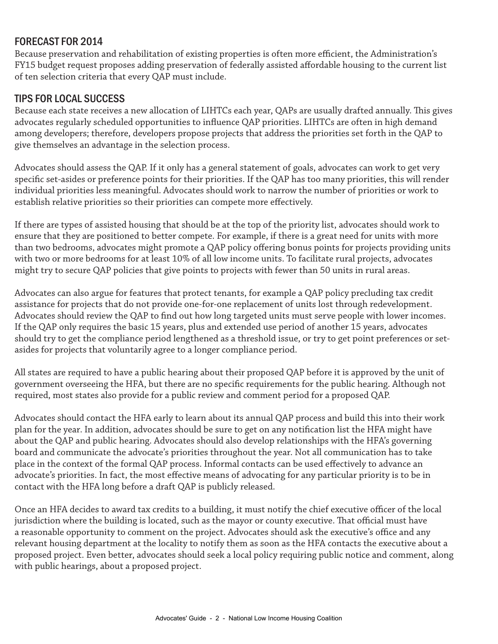## FORECAST FOR 2014

Because preservation and rehabilitation of existing properties is often more efficient, the Administration's FY15 budget request proposes adding preservation of federally assisted affordable housing to the current list of ten selection criteria that every QAP must include.

#### TIPS FOR LOCAL SUCCESS

Because each state receives a new allocation of LIHTCs each year, QAPs are usually drafted annually. This gives advocates regularly scheduled opportunities to influence QAP priorities. LIHTCs are often in high demand among developers; therefore, developers propose projects that address the priorities set forth in the QAP to give themselves an advantage in the selection process.

Advocates should assess the QAP. If it only has a general statement of goals, advocates can work to get very specific set-asides or preference points for their priorities. If the QAP has too many priorities, this will render individual priorities less meaningful. Advocates should work to narrow the number of priorities or work to establish relative priorities so their priorities can compete more effectively.

If there are types of assisted housing that should be at the top of the priority list, advocates should work to ensure that they are positioned to better compete. For example, if there is a great need for units with more than two bedrooms, advocates might promote a QAP policy offering bonus points for projects providing units with two or more bedrooms for at least 10% of all low income units. To facilitate rural projects, advocates might try to secure QAP policies that give points to projects with fewer than 50 units in rural areas.

Advocates can also argue for features that protect tenants, for example a QAP policy precluding tax credit assistance for projects that do not provide one-for-one replacement of units lost through redevelopment. Advocates should review the QAP to find out how long targeted units must serve people with lower incomes. If the QAP only requires the basic 15 years, plus and extended use period of another 15 years, advocates should try to get the compliance period lengthened as a threshold issue, or try to get point preferences or setasides for projects that voluntarily agree to a longer compliance period.

All states are required to have a public hearing about their proposed QAP before it is approved by the unit of government overseeing the HFA, but there are no specific requirements for the public hearing. Although not required, most states also provide for a public review and comment period for a proposed QAP.

Advocates should contact the HFA early to learn about its annual QAP process and build this into their work plan for the year. In addition, advocates should be sure to get on any notification list the HFA might have about the QAP and public hearing. Advocates should also develop relationships with the HFA's governing board and communicate the advocate's priorities throughout the year. Not all communication has to take place in the context of the formal QAP process. Informal contacts can be used effectively to advance an advocate's priorities. In fact, the most effective means of advocating for any particular priority is to be in contact with the HFA long before a draft QAP is publicly released.

Once an HFA decides to award tax credits to a building, it must notify the chief executive officer of the local jurisdiction where the building is located, such as the mayor or county executive. That official must have a reasonable opportunity to comment on the project. Advocates should ask the executive's office and any relevant housing department at the locality to notify them as soon as the HFA contacts the executive about a proposed project. Even better, advocates should seek a local policy requiring public notice and comment, along with public hearings, about a proposed project.